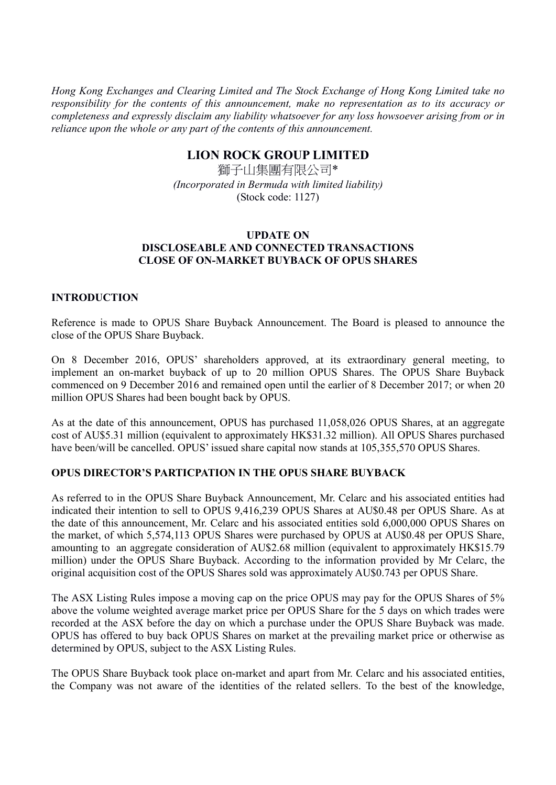*Hong Kong Exchanges and Clearing Limited and The Stock Exchange of Hong Kong Limited take no responsibility for the contents of this announcement, make no representation as to its accuracy or completeness and expressly disclaim any liability whatsoever for any loss howsoever arising from or in reliance upon the whole or any part of the contents of this announcement.* 

## **LION ROCK GROUP LIMITED**

獅子山集團有限公司\* *(Incorporated in Bermuda with limited liability)*  (Stock code: 1127)

## **UPDATE ON DISCLOSEABLE AND CONNECTED TRANSACTIONS CLOSE OF ON-MARKET BUYBACK OF OPUS SHARES**

## **INTRODUCTION**

Reference is made to OPUS Share Buyback Announcement. The Board is pleased to announce the close of the OPUS Share Buyback.

On 8 December 2016, OPUS' shareholders approved, at its extraordinary general meeting, to implement an on-market buyback of up to 20 million OPUS Shares. The OPUS Share Buyback commenced on 9 December 2016 and remained open until the earlier of 8 December 2017; or when 20 million OPUS Shares had been bought back by OPUS.

As at the date of this announcement, OPUS has purchased 11,058,026 OPUS Shares, at an aggregate cost of AU\$5.31 million (equivalent to approximately HK\$31.32 million). All OPUS Shares purchased have been/will be cancelled. OPUS' issued share capital now stands at 105,355,570 OPUS Shares.

## **OPUS DIRECTOR'S PARTICPATION IN THE OPUS SHARE BUYBACK**

As referred to in the OPUS Share Buyback Announcement, Mr. Celarc and his associated entities had indicated their intention to sell to OPUS 9,416,239 OPUS Shares at AU\$0.48 per OPUS Share. As at the date of this announcement, Mr. Celarc and his associated entities sold 6,000,000 OPUS Shares on the market, of which 5,574,113 OPUS Shares were purchased by OPUS at AU\$0.48 per OPUS Share, amounting to an aggregate consideration of AU\$2.68 million (equivalent to approximately HK\$15.79 million) under the OPUS Share Buyback. According to the information provided by Mr Celarc, the original acquisition cost of the OPUS Shares sold was approximately AU\$0.743 per OPUS Share.

The ASX Listing Rules impose a moving cap on the price OPUS may pay for the OPUS Shares of 5% above the volume weighted average market price per OPUS Share for the 5 days on which trades were recorded at the ASX before the day on which a purchase under the OPUS Share Buyback was made. OPUS has offered to buy back OPUS Shares on market at the prevailing market price or otherwise as determined by OPUS, subject to the ASX Listing Rules.

The OPUS Share Buyback took place on-market and apart from Mr. Celarc and his associated entities, the Company was not aware of the identities of the related sellers. To the best of the knowledge,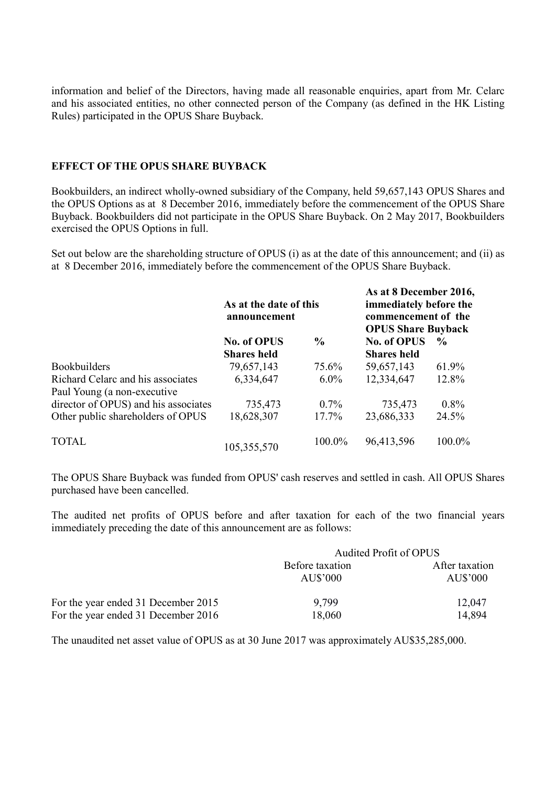information and belief of the Directors, having made all reasonable enquiries, apart from Mr. Celarc and his associated entities, no other connected person of the Company (as defined in the HK Listing Rules) participated in the OPUS Share Buyback.

#### **EFFECT OF THE OPUS SHARE BUYBACK**

Bookbuilders, an indirect wholly-owned subsidiary of the Company, held 59,657,143 OPUS Shares and the OPUS Options as at 8 December 2016, immediately before the commencement of the OPUS Share Buyback. Bookbuilders did not participate in the OPUS Share Buyback. On 2 May 2017, Bookbuilders exercised the OPUS Options in full.

Set out below are the shareholding structure of OPUS (i) as at the date of this announcement; and (ii) as at 8 December 2016, immediately before the commencement of the OPUS Share Buyback.

|                                      | As at the date of this<br>announcement |               | As at 8 December 2016,<br>immediately before the<br>commencement of the<br><b>OPUS Share Buyback</b> |               |
|--------------------------------------|----------------------------------------|---------------|------------------------------------------------------------------------------------------------------|---------------|
|                                      | <b>No. of OPUS</b>                     | $\frac{6}{9}$ | No. of OPUS                                                                                          | $\frac{6}{9}$ |
|                                      | <b>Shares held</b>                     |               | <b>Shares held</b>                                                                                   |               |
| <b>Bookbuilders</b>                  | 79,657,143                             | 75.6%         | 59,657,143                                                                                           | 61.9%         |
| Richard Celarc and his associates    | 6,334,647                              | $6.0\%$       | 12,334,647                                                                                           | 12.8%         |
| Paul Young (a non-executive          |                                        |               |                                                                                                      |               |
| director of OPUS) and his associates | 735,473                                | $0.7\%$       | 735,473                                                                                              | $0.8\%$       |
| Other public shareholders of OPUS    | 18,628,307                             | 17.7%         | 23,686,333                                                                                           | 24.5%         |
| <b>TOTAL</b>                         | 105,355,570                            | 100.0%        | 96,413,596                                                                                           | 100.0%        |

The OPUS Share Buyback was funded from OPUS' cash reserves and settled in cash. All OPUS Shares purchased have been cancelled.

The audited net profits of OPUS before and after taxation for each of the two financial years immediately preceding the date of this announcement are as follows:

|                                     | Audited Profit of OPUS      |                            |  |
|-------------------------------------|-----------------------------|----------------------------|--|
|                                     | Before taxation<br>AU\$'000 | After taxation<br>AU\$'000 |  |
| For the year ended 31 December 2015 | 9.799                       | 12,047                     |  |
| For the year ended 31 December 2016 | 18,060                      | 14.894                     |  |

The unaudited net asset value of OPUS as at 30 June 2017 was approximately AU\$35,285,000.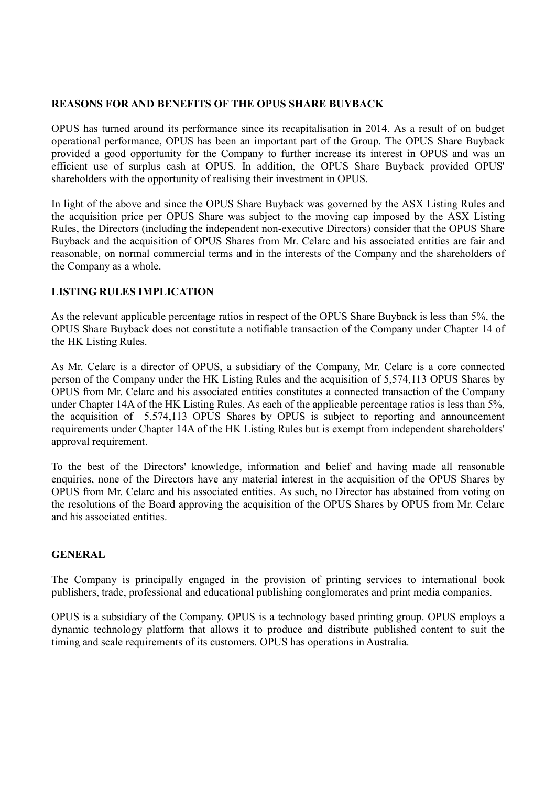## **REASONS FOR AND BENEFITS OF THE OPUS SHARE BUYBACK**

OPUS has turned around its performance since its recapitalisation in 2014. As a result of on budget operational performance, OPUS has been an important part of the Group. The OPUS Share Buyback provided a good opportunity for the Company to further increase its interest in OPUS and was an efficient use of surplus cash at OPUS. In addition, the OPUS Share Buyback provided OPUS' shareholders with the opportunity of realising their investment in OPUS.

In light of the above and since the OPUS Share Buyback was governed by the ASX Listing Rules and the acquisition price per OPUS Share was subject to the moving cap imposed by the ASX Listing Rules, the Directors (including the independent non-executive Directors) consider that the OPUS Share Buyback and the acquisition of OPUS Shares from Mr. Celarc and his associated entities are fair and reasonable, on normal commercial terms and in the interests of the Company and the shareholders of the Company as a whole.

## **LISTING RULES IMPLICATION**

As the relevant applicable percentage ratios in respect of the OPUS Share Buyback is less than 5%, the OPUS Share Buyback does not constitute a notifiable transaction of the Company under Chapter 14 of the HK Listing Rules.

As Mr. Celarc is a director of OPUS, a subsidiary of the Company, Mr. Celarc is a core connected person of the Company under the HK Listing Rules and the acquisition of 5,574,113 OPUS Shares by OPUS from Mr. Celarc and his associated entities constitutes a connected transaction of the Company under Chapter 14A of the HK Listing Rules. As each of the applicable percentage ratios is less than 5%, the acquisition of 5,574,113 OPUS Shares by OPUS is subject to reporting and announcement requirements under Chapter 14A of the HK Listing Rules but is exempt from independent shareholders' approval requirement.

To the best of the Directors' knowledge, information and belief and having made all reasonable enquiries, none of the Directors have any material interest in the acquisition of the OPUS Shares by OPUS from Mr. Celarc and his associated entities. As such, no Director has abstained from voting on the resolutions of the Board approving the acquisition of the OPUS Shares by OPUS from Mr. Celarc and his associated entities.

## **GENERAL**

The Company is principally engaged in the provision of printing services to international book publishers, trade, professional and educational publishing conglomerates and print media companies.

OPUS is a subsidiary of the Company. OPUS is a technology based printing group. OPUS employs a dynamic technology platform that allows it to produce and distribute published content to suit the timing and scale requirements of its customers. OPUS has operations in Australia.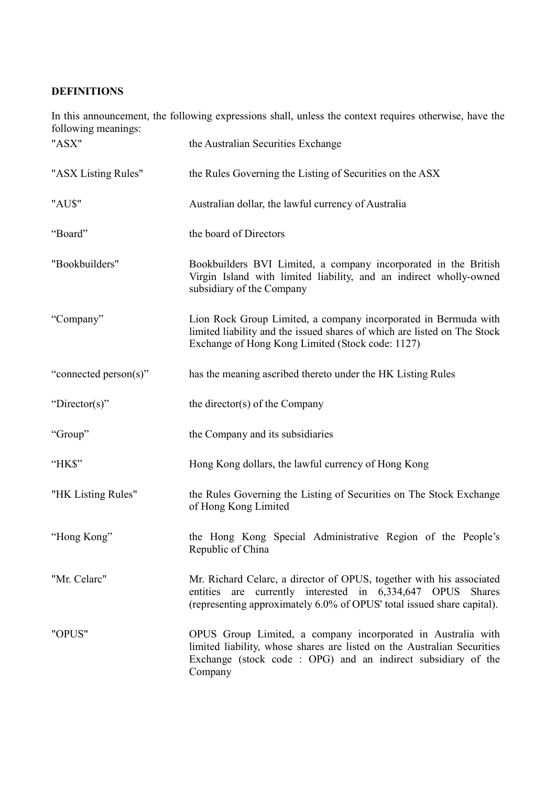# **DEFINITIONS**

In this announcement, the following expressions shall, unless the context requires otherwise, have the following meanings:

| "ASX"                 | the Australian Securities Exchange                                                                                                                                                                                  |
|-----------------------|---------------------------------------------------------------------------------------------------------------------------------------------------------------------------------------------------------------------|
| "ASX Listing Rules"   | the Rules Governing the Listing of Securities on the ASX                                                                                                                                                            |
| "AU\$"                | Australian dollar, the lawful currency of Australia                                                                                                                                                                 |
| "Board"               | the board of Directors                                                                                                                                                                                              |
| "Bookbuilders"        | Bookbuilders BVI Limited, a company incorporated in the British<br>Virgin Island with limited liability, and an indirect wholly-owned<br>subsidiary of the Company                                                  |
| "Company"             | Lion Rock Group Limited, a company incorporated in Bermuda with<br>limited liability and the issued shares of which are listed on The Stock<br>Exchange of Hong Kong Limited (Stock code: 1127)                     |
| "connected person(s)" | has the meaning ascribed thereto under the HK Listing Rules                                                                                                                                                         |
| "Director(s)"         | the director(s) of the Company                                                                                                                                                                                      |
| "Group"               | the Company and its subsidiaries                                                                                                                                                                                    |
| "HK\$"                | Hong Kong dollars, the lawful currency of Hong Kong                                                                                                                                                                 |
| "HK Listing Rules"    | the Rules Governing the Listing of Securities on The Stock Exchange<br>of Hong Kong Limited                                                                                                                         |
| "Hong Kong"           | the Hong Kong Special Administrative Region of the People's<br>Republic of China                                                                                                                                    |
| "Mr. Celarc"          | Mr. Richard Celarc, a director of OPUS, together with his associated<br>entities are currently interested in 6,334,647 OPUS Shares<br>(representing approximately 6.0% of OPUS' total issued share capital).        |
| "OPUS"                | OPUS Group Limited, a company incorporated in Australia with<br>limited liability, whose shares are listed on the Australian Securities<br>Exchange (stock code : OPG) and an indirect subsidiary of the<br>Company |